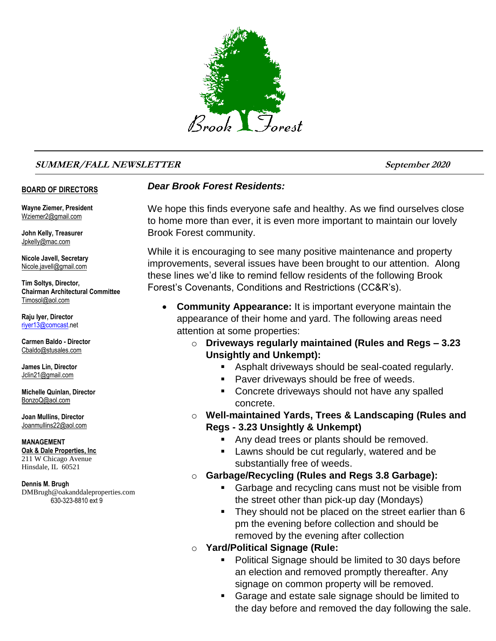

#### **SUMMER/FALL NEWSLETTER September <sup>2020</sup>**

#### **BOARD OF DIRECTORS**

**Wayne Ziemer, President** Wziemer2@gmail.com

**John Kelly, Treasurer** Jpkelly@mac.com

**Nicole Javell, Secretary** Nicole.javell@gmail.com

**Tim Soltys, Director, Chairman Architectural Committee** Timosol@aol.com

**Raju Iyer, Director** [riyer13@comcast.n](mailto:riyer13@comcast)et

**Carmen Baldo - Director** Cbaldo@stusales.com

**James Lin, Director** Jclin21@gmail.com

**Michelle Quinlan, Director** BonzoQ@aol.com

**Joan Mullins, Director** Joanmullins22@aol.com

**MANAGEMENT Oak & Dale Properties, Inc** 211 W Chicago Avenue Hinsdale, IL 60521

**Dennis M. Brugh** DMBrugh@oakanddaleproperties.com 630-323-8810 ext 9

#### *Dear Brook Forest Residents:*

We hope this finds everyone safe and healthy. As we find ourselves close to home more than ever, it is even more important to maintain our lovely Brook Forest community.

While it is encouraging to see many positive maintenance and property improvements, several issues have been brought to our attention. Along these lines we'd like to remind fellow residents of the following Brook Forest's Covenants, Conditions and Restrictions (CC&R's).

- **Community Appearance:** It is important everyone maintain the appearance of their home and yard. The following areas need attention at some properties:
	- o **Driveways regularly maintained (Rules and Regs – 3.23 Unsightly and Unkempt):**
		- **Asphalt driveways should be seal-coated regularly.**
		- **Paver driveways should be free of weeds.**
		- **Concrete driveways should not have any spalled** concrete.
	- o **Well-maintained Yards, Trees & Landscaping (Rules and Regs - 3.23 Unsightly & Unkempt)**
		- Any dead trees or plants should be removed.
		- Lawns should be cut regularly, watered and be substantially free of weeds.
	- o **Garbage/Recycling (Rules and Regs 3.8 Garbage):** 
		- **Garbage and recycling cans must not be visible from** the street other than pick-up day (Mondays)
		- They should not be placed on the street earlier than 6 pm the evening before collection and should be removed by the evening after collection
	- o **Yard/Political Signage (Rule:**
		- **Political Signage should be limited to 30 days before** an election and removed promptly thereafter. Any signage on common property will be removed.
		- Garage and estate sale signage should be limited to the day before and removed the day following the sale.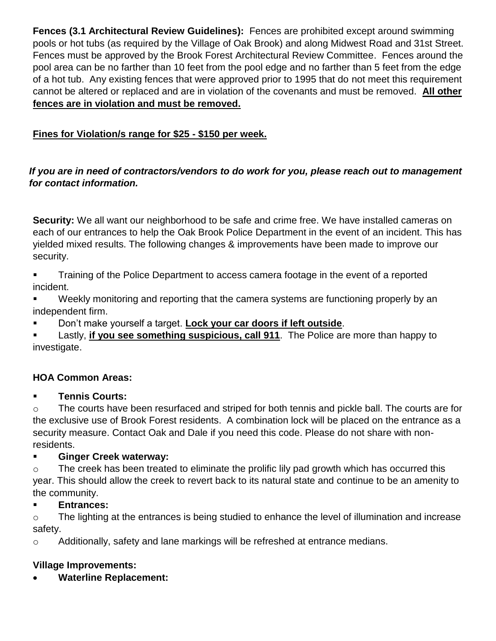**Fences (3.1 Architectural Review Guidelines):** Fences are prohibited except around swimming pools or hot tubs (as required by the Village of Oak Brook) and along Midwest Road and 31st Street. Fences must be approved by the Brook Forest Architectural Review Committee. Fences around the pool area can be no farther than 10 feet from the pool edge and no farther than 5 feet from the edge of a hot tub. Any existing fences that were approved prior to 1995 that do not meet this requirement cannot be altered or replaced and are in violation of the covenants and must be removed. **All other fences are in violation and must be removed.**

# **Fines for Violation/s range for \$25 - \$150 per week.**

#### *If you are in need of contractors/vendors to do work for you, please reach out to management for contact information.*

**Security:** We all want our neighborhood to be safe and crime free. We have installed cameras on each of our entrances to help the Oak Brook Police Department in the event of an incident. This has yielded mixed results. The following changes & improvements have been made to improve our security.

- **Training of the Police Department to access camera footage in the event of a reported** incident.
- Weekly monitoring and reporting that the camera systems are functioning properly by an independent firm.
- Don't make yourself a target. **Lock your car doors if left outside**.

 Lastly, **if you see something suspicious, call 911**. The Police are more than happy to investigate.

## **HOA Common Areas:**

## **Tennis Courts:**

 $\circ$  The courts have been resurfaced and striped for both tennis and pickle ball. The courts are for the exclusive use of Brook Forest residents. A combination lock will be placed on the entrance as a security measure. Contact Oak and Dale if you need this code. Please do not share with nonresidents.

## **Ginger Creek waterway:**

o The creek has been treated to eliminate the prolific lily pad growth which has occurred this year. This should allow the creek to revert back to its natural state and continue to be an amenity to the community.

## **Entrances:**

o The lighting at the entrances is being studied to enhance the level of illumination and increase safety.

o Additionally, safety and lane markings will be refreshed at entrance medians.

## **Village Improvements:**

**Waterline Replacement:**